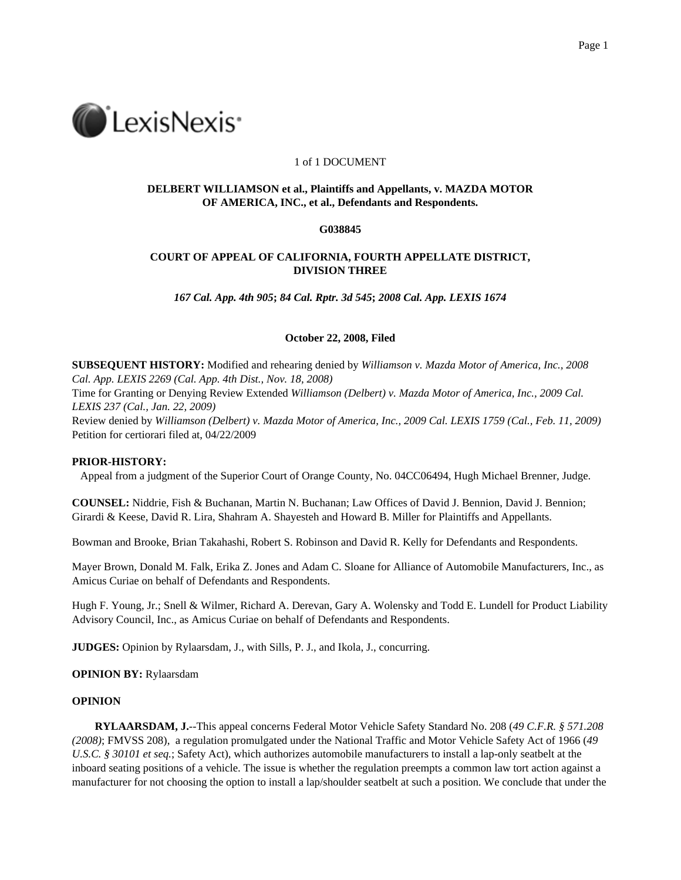

# 1 of 1 DOCUMENT

# **DELBERT WILLIAMSON et al., Plaintiffs and Appellants, v. MAZDA MOTOR OF AMERICA, INC., et al., Defendants and Respondents.**

## **G038845**

# **COURT OF APPEAL OF CALIFORNIA, FOURTH APPELLATE DISTRICT, DIVISION THREE**

*167 Cal. App. 4th 905***;** *84 Cal. Rptr. 3d 545***;** *2008 Cal. App. LEXIS 1674*

## **October 22, 2008, Filed**

**SUBSEQUENT HISTORY:** Modified and rehearing denied by *Williamson v. Mazda Motor of America, Inc., 2008 Cal. App. LEXIS 2269 (Cal. App. 4th Dist., Nov. 18, 2008)*

Time for Granting or Denying Review Extended *Williamson (Delbert) v. Mazda Motor of America, Inc., 2009 Cal. LEXIS 237 (Cal., Jan. 22, 2009)*

Review denied by *Williamson (Delbert) v. Mazda Motor of America, Inc., 2009 Cal. LEXIS 1759 (Cal., Feb. 11, 2009)* Petition for certiorari filed at, 04/22/2009

## **PRIOR-HISTORY:**

Appeal from a judgment of the Superior Court of Orange County, No. 04CC06494, Hugh Michael Brenner, Judge.

**COUNSEL:** Niddrie, Fish & Buchanan, Martin N. Buchanan; Law Offices of David J. Bennion, David J. Bennion; Girardi & Keese, David R. Lira, Shahram A. Shayesteh and Howard B. Miller for Plaintiffs and Appellants.

Bowman and Brooke, Brian Takahashi, Robert S. Robinson and David R. Kelly for Defendants and Respondents.

Mayer Brown, Donald M. Falk, Erika Z. Jones and Adam C. Sloane for Alliance of Automobile Manufacturers, Inc., as Amicus Curiae on behalf of Defendants and Respondents.

Hugh F. Young, Jr.; Snell & Wilmer, Richard A. Derevan, Gary A. Wolensky and Todd E. Lundell for Product Liability Advisory Council, Inc., as Amicus Curiae on behalf of Defendants and Respondents.

**JUDGES:** Opinion by Rylaarsdam, J., with Sills, P. J., and Ikola, J., concurring.

#### **OPINION BY:** Rylaarsdam

### **OPINION**

**RYLAARSDAM, J.**--This appeal concerns Federal Motor Vehicle Safety Standard No. 208 (*49 C.F.R. § 571.208 (2008)*; FMVSS 208), a regulation promulgated under the National Traffic and Motor Vehicle Safety Act of 1966 (*49 U.S.C. § 30101 et seq.*; Safety Act), which authorizes automobile manufacturers to install a lap-only seatbelt at the inboard seating positions of a vehicle. The issue is whether the regulation preempts a common law tort action against a manufacturer for not choosing the option to install a lap/shoulder seatbelt at such a position. We conclude that under the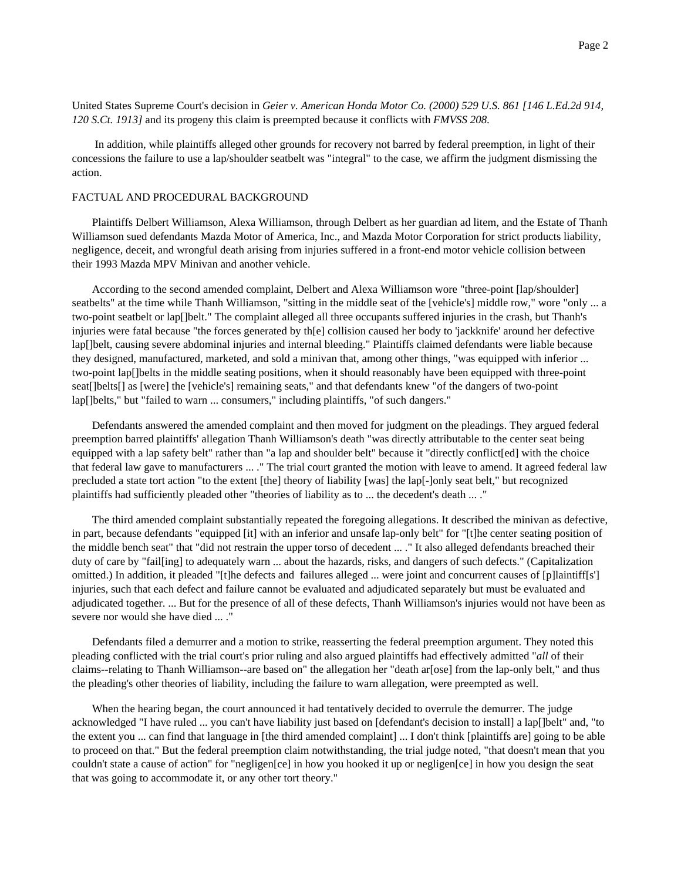United States Supreme Court's decision in *Geier v. American Honda Motor Co. (2000) 529 U.S. 861 [146 L.Ed.2d 914, 120 S.Ct. 1913]* and its progeny this claim is preempted because it conflicts with *FMVSS 208*.

In addition, while plaintiffs alleged other grounds for recovery not barred by federal preemption, in light of their concessions the failure to use a lap/shoulder seatbelt was "integral" to the case, we affirm the judgment dismissing the action.

## FACTUAL AND PROCEDURAL BACKGROUND

Plaintiffs Delbert Williamson, Alexa Williamson, through Delbert as her guardian ad litem, and the Estate of Thanh Williamson sued defendants Mazda Motor of America, Inc., and Mazda Motor Corporation for strict products liability, negligence, deceit, and wrongful death arising from injuries suffered in a front-end motor vehicle collision between their 1993 Mazda MPV Minivan and another vehicle.

According to the second amended complaint, Delbert and Alexa Williamson wore "three-point [lap/shoulder] seatbelts" at the time while Thanh Williamson, "sitting in the middle seat of the [vehicle's] middle row," wore "only ... a two-point seatbelt or lap[]belt." The complaint alleged all three occupants suffered injuries in the crash, but Thanh's injuries were fatal because "the forces generated by th[e] collision caused her body to 'jackknife' around her defective lap[]belt, causing severe abdominal injuries and internal bleeding." Plaintiffs claimed defendants were liable because they designed, manufactured, marketed, and sold a minivan that, among other things, "was equipped with inferior ... two-point lap[]belts in the middle seating positions, when it should reasonably have been equipped with three-point seat[]belts[] as [were] the [vehicle's] remaining seats," and that defendants knew "of the dangers of two-point lap[]belts," but "failed to warn ... consumers," including plaintiffs, "of such dangers."

Defendants answered the amended complaint and then moved for judgment on the pleadings. They argued federal preemption barred plaintiffs' allegation Thanh Williamson's death "was directly attributable to the center seat being equipped with a lap safety belt" rather than "a lap and shoulder belt" because it "directly conflict[ed] with the choice that federal law gave to manufacturers ... ." The trial court granted the motion with leave to amend. It agreed federal law precluded a state tort action "to the extent [the] theory of liability [was] the lap[-]only seat belt," but recognized plaintiffs had sufficiently pleaded other "theories of liability as to ... the decedent's death ... ."

The third amended complaint substantially repeated the foregoing allegations. It described the minivan as defective, in part, because defendants "equipped [it] with an inferior and unsafe lap-only belt" for "[t]he center seating position of the middle bench seat" that "did not restrain the upper torso of decedent ... ." It also alleged defendants breached their duty of care by "fail[ing] to adequately warn ... about the hazards, risks, and dangers of such defects." (Capitalization omitted.) In addition, it pleaded "[t]he defects and failures alleged ... were joint and concurrent causes of [p]laintiff[s'] injuries, such that each defect and failure cannot be evaluated and adjudicated separately but must be evaluated and adjudicated together. ... But for the presence of all of these defects, Thanh Williamson's injuries would not have been as severe nor would she have died ... ."

Defendants filed a demurrer and a motion to strike, reasserting the federal preemption argument. They noted this pleading conflicted with the trial court's prior ruling and also argued plaintiffs had effectively admitted "*all* of their claims--relating to Thanh Williamson--are based on" the allegation her "death ar[ose] from the lap-only belt," and thus the pleading's other theories of liability, including the failure to warn allegation, were preempted as well.

When the hearing began, the court announced it had tentatively decided to overrule the demurrer. The judge acknowledged "I have ruled ... you can't have liability just based on [defendant's decision to install] a lap[]belt" and, "to the extent you ... can find that language in [the third amended complaint] ... I don't think [plaintiffs are] going to be able to proceed on that." But the federal preemption claim notwithstanding, the trial judge noted, "that doesn't mean that you couldn't state a cause of action" for "negligen[ce] in how you hooked it up or negligen[ce] in how you design the seat that was going to accommodate it, or any other tort theory."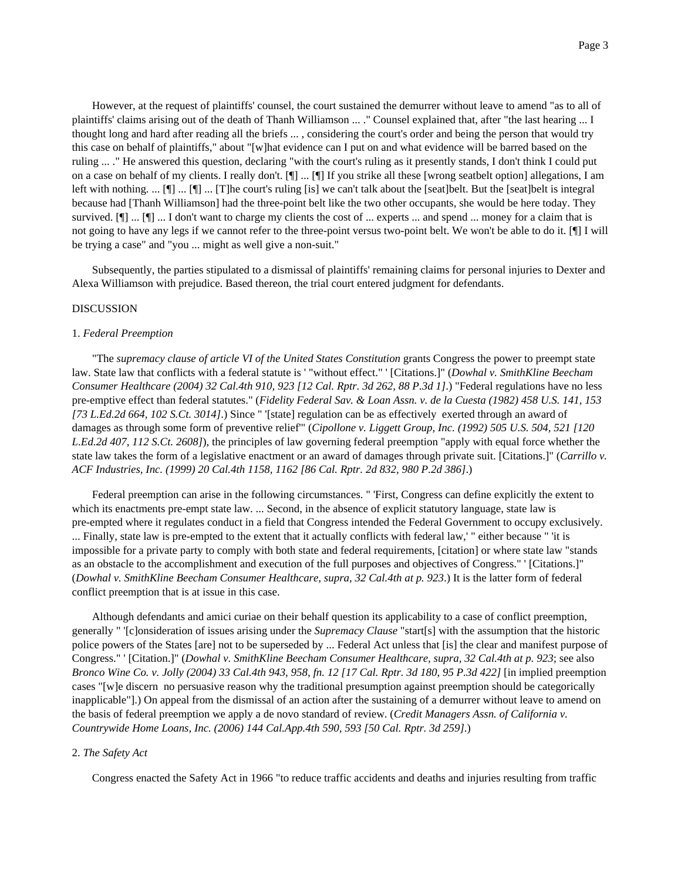However, at the request of plaintiffs' counsel, the court sustained the demurrer without leave to amend "as to all of plaintiffs' claims arising out of the death of Thanh Williamson ... ." Counsel explained that, after "the last hearing ... I thought long and hard after reading all the briefs ... , considering the court's order and being the person that would try this case on behalf of plaintiffs," about "[w]hat evidence can I put on and what evidence will be barred based on the ruling ... ." He answered this question, declaring "with the court's ruling as it presently stands, I don't think I could put on a case on behalf of my clients. I really don't. [¶] ... [¶] If you strike all these [wrong seatbelt option] allegations, I am left with nothing. ... [¶] ... [T]he court's ruling [is] we can't talk about the [seat]belt. But the [seat]belt is integral because had [Thanh Williamson] had the three-point belt like the two other occupants, she would be here today. They survived.  $[\n\Pi]$  ... I don't want to charge my clients the cost of ... experts ... and spend ... money for a claim that is not going to have any legs if we cannot refer to the three-point versus two-point belt. We won't be able to do it. [¶] I will be trying a case" and "you ... might as well give a non-suit."

Subsequently, the parties stipulated to a dismissal of plaintiffs' remaining claims for personal injuries to Dexter and Alexa Williamson with prejudice. Based thereon, the trial court entered judgment for defendants.

## DISCUSSION

#### 1. *Federal Preemption*

"The *supremacy clause of article VI of the United States Constitution* grants Congress the power to preempt state law. State law that conflicts with a federal statute is ' "without effect." ' [Citations.]" (*Dowhal v. SmithKline Beecham Consumer Healthcare (2004) 32 Cal.4th 910, 923 [12 Cal. Rptr. 3d 262, 88 P.3d 1]*.) "Federal regulations have no less pre-emptive effect than federal statutes." (*Fidelity Federal Sav. & Loan Assn. v. de la Cuesta (1982) 458 U.S. 141, 153 [73 L.Ed.2d 664, 102 S.Ct. 3014]*.) Since " '[state] regulation can be as effectively exerted through an award of damages as through some form of preventive relief'" (*Cipollone v. Liggett Group, Inc. (1992) 505 U.S. 504, 521 [120 L.Ed.2d 407, 112 S.Ct. 2608]*), the principles of law governing federal preemption "apply with equal force whether the state law takes the form of a legislative enactment or an award of damages through private suit. [Citations.]" (*Carrillo v. ACF Industries, Inc. (1999) 20 Cal.4th 1158, 1162 [86 Cal. Rptr. 2d 832, 980 P.2d 386]*.)

Federal preemption can arise in the following circumstances. " 'First, Congress can define explicitly the extent to which its enactments pre-empt state law. ... Second, in the absence of explicit statutory language, state law is pre-empted where it regulates conduct in a field that Congress intended the Federal Government to occupy exclusively. ... Finally, state law is pre-empted to the extent that it actually conflicts with federal law,' " either because " 'it is impossible for a private party to comply with both state and federal requirements, [citation] or where state law "stands as an obstacle to the accomplishment and execution of the full purposes and objectives of Congress." ' [Citations.]" (*Dowhal v. SmithKline Beecham Consumer Healthcare, supra, 32 Cal.4th at p. 923*.) It is the latter form of federal conflict preemption that is at issue in this case.

Although defendants and amici curiae on their behalf question its applicability to a case of conflict preemption, generally " '[c]onsideration of issues arising under the *Supremacy Clause* "start[s] with the assumption that the historic police powers of the States [are] not to be superseded by ... Federal Act unless that [is] the clear and manifest purpose of Congress." ' [Citation.]" (*Dowhal v. SmithKline Beecham Consumer Healthcare, supra, 32 Cal.4th at p. 923*; see also *Bronco Wine Co. v. Jolly (2004) 33 Cal.4th 943, 958, fn. 12 [17 Cal. Rptr. 3d 180, 95 P.3d 422]* [in implied preemption cases "[w]e discern no persuasive reason why the traditional presumption against preemption should be categorically inapplicable"].) On appeal from the dismissal of an action after the sustaining of a demurrer without leave to amend on the basis of federal preemption we apply a de novo standard of review. (*Credit Managers Assn. of California v. Countrywide Home Loans, Inc. (2006) 144 Cal.App.4th 590, 593 [50 Cal. Rptr. 3d 259]*.)

#### 2. *The Safety Act*

Congress enacted the Safety Act in 1966 "to reduce traffic accidents and deaths and injuries resulting from traffic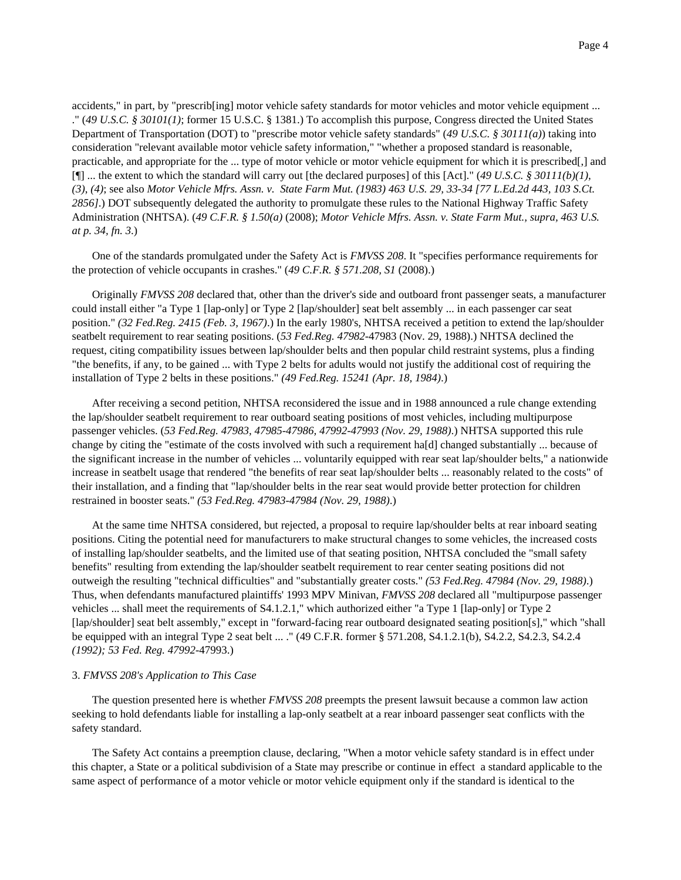accidents," in part, by "prescrib[ing] motor vehicle safety standards for motor vehicles and motor vehicle equipment ... ." (*49 U.S.C. § 30101(1)*; former 15 U.S.C. § 1381.) To accomplish this purpose, Congress directed the United States Department of Transportation (DOT) to "prescribe motor vehicle safety standards" (*49 U.S.C. § 30111(a)*) taking into consideration "relevant available motor vehicle safety information," "whether a proposed standard is reasonable, practicable, and appropriate for the ... type of motor vehicle or motor vehicle equipment for which it is prescribed[,] and [¶] ... the extent to which the standard will carry out [the declared purposes] of this [Act]." (*49 U.S.C. § 30111(b)(1)*, *(3)*, *(4)*; see also *Motor Vehicle Mfrs. Assn. v. State Farm Mut. (1983) 463 U.S. 29, 33-34 [77 L.Ed.2d 443, 103 S.Ct. 2856]*.) DOT subsequently delegated the authority to promulgate these rules to the National Highway Traffic Safety Administration (NHTSA). (*49 C.F.R. § 1.50(a)* (2008); *Motor Vehicle Mfrs. Assn. v. State Farm Mut., supra, 463 U.S. at p. 34, fn. 3*.)

One of the standards promulgated under the Safety Act is *FMVSS 208*. It "specifies performance requirements for the protection of vehicle occupants in crashes." (*49 C.F.R. § 571.208, S1* (2008).)

Originally *FMVSS 208* declared that, other than the driver's side and outboard front passenger seats, a manufacturer could install either "a Type 1 [lap-only] or Type 2 [lap/shoulder] seat belt assembly ... in each passenger car seat position." *(32 Fed.Reg. 2415 (Feb. 3, 1967)*.) In the early 1980's, NHTSA received a petition to extend the lap/shoulder seatbelt requirement to rear seating positions. (*53 Fed.Reg. 47982*-47983 (Nov. 29, 1988).) NHTSA declined the request, citing compatibility issues between lap/shoulder belts and then popular child restraint systems, plus a finding "the benefits, if any, to be gained ... with Type 2 belts for adults would not justify the additional cost of requiring the installation of Type 2 belts in these positions." *(49 Fed.Reg. 15241 (Apr. 18, 1984)*.)

After receiving a second petition, NHTSA reconsidered the issue and in 1988 announced a rule change extending the lap/shoulder seatbelt requirement to rear outboard seating positions of most vehicles, including multipurpose passenger vehicles. (*53 Fed.Reg. 47983, 47985-47986, 47992-47993 (Nov. 29, 1988)*.) NHTSA supported this rule change by citing the "estimate of the costs involved with such a requirement ha[d] changed substantially ... because of the significant increase in the number of vehicles ... voluntarily equipped with rear seat lap/shoulder belts," a nationwide increase in seatbelt usage that rendered "the benefits of rear seat lap/shoulder belts ... reasonably related to the costs" of their installation, and a finding that "lap/shoulder belts in the rear seat would provide better protection for children restrained in booster seats." *(53 Fed.Reg. 47983-47984 (Nov. 29, 1988)*.)

At the same time NHTSA considered, but rejected, a proposal to require lap/shoulder belts at rear inboard seating positions. Citing the potential need for manufacturers to make structural changes to some vehicles, the increased costs of installing lap/shoulder seatbelts, and the limited use of that seating position, NHTSA concluded the "small safety benefits" resulting from extending the lap/shoulder seatbelt requirement to rear center seating positions did not outweigh the resulting "technical difficulties" and "substantially greater costs." *(53 Fed.Reg. 47984 (Nov. 29, 1988)*.) Thus, when defendants manufactured plaintiffs' 1993 MPV Minivan, *FMVSS 208* declared all "multipurpose passenger vehicles ... shall meet the requirements of S4.1.2.1," which authorized either "a Type 1 [lap-only] or Type 2 [lap/shoulder] seat belt assembly," except in "forward-facing rear outboard designated seating position[s]," which "shall be equipped with an integral Type 2 seat belt ... ." (49 C.F.R. former § 571.208, S4.1.2.1(b), S4.2.2, S4.2.3, S4.2.4 *(1992); 53 Fed. Reg. 47992*-47993.)

# 3. *FMVSS 208's Application to This Case*

The question presented here is whether *FMVSS 208* preempts the present lawsuit because a common law action seeking to hold defendants liable for installing a lap-only seatbelt at a rear inboard passenger seat conflicts with the safety standard.

The Safety Act contains a preemption clause, declaring, "When a motor vehicle safety standard is in effect under this chapter, a State or a political subdivision of a State may prescribe or continue in effect a standard applicable to the same aspect of performance of a motor vehicle or motor vehicle equipment only if the standard is identical to the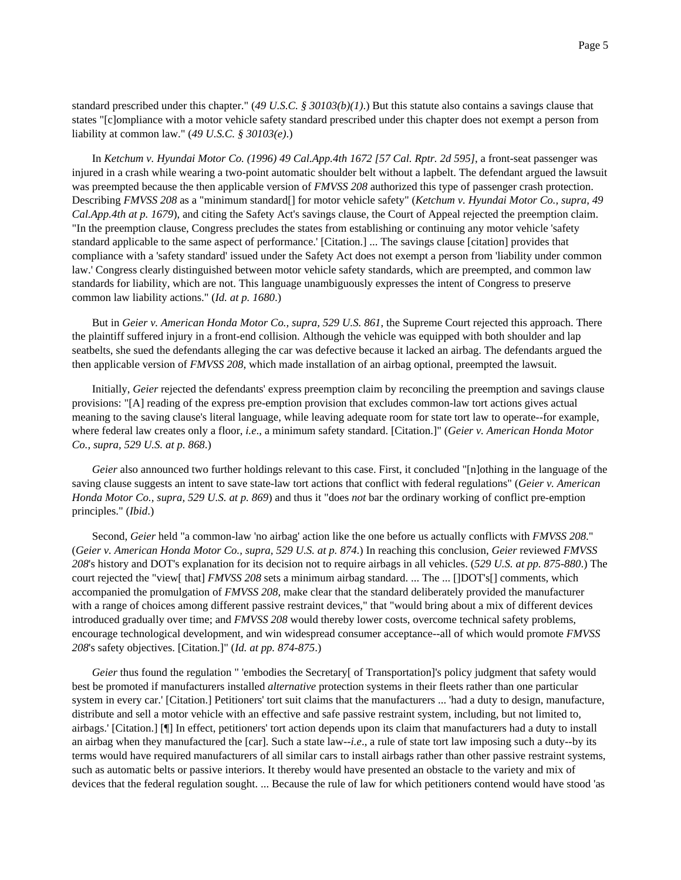standard prescribed under this chapter." (*49 U.S.C. § 30103(b)(1)*.) But this statute also contains a savings clause that states "[c]ompliance with a motor vehicle safety standard prescribed under this chapter does not exempt a person from liability at common law." (*49 U.S.C. § 30103(e)*.)

In *Ketchum v. Hyundai Motor Co. (1996) 49 Cal.App.4th 1672 [57 Cal. Rptr. 2d 595]*, a front-seat passenger was injured in a crash while wearing a two-point automatic shoulder belt without a lapbelt. The defendant argued the lawsuit was preempted because the then applicable version of *FMVSS 208* authorized this type of passenger crash protection. Describing *FMVSS 208* as a "minimum standard[] for motor vehicle safety" (*Ketchum v. Hyundai Motor Co., supra, 49 Cal.App.4th at p. 1679*), and citing the Safety Act's savings clause, the Court of Appeal rejected the preemption claim. "In the preemption clause, Congress precludes the states from establishing or continuing any motor vehicle 'safety standard applicable to the same aspect of performance.' [Citation.] ... The savings clause [citation] provides that compliance with a 'safety standard' issued under the Safety Act does not exempt a person from 'liability under common law.' Congress clearly distinguished between motor vehicle safety standards, which are preempted, and common law standards for liability, which are not. This language unambiguously expresses the intent of Congress to preserve common law liability actions." (*Id. at p. 1680*.)

But in *Geier v. American Honda Motor Co., supra, 529 U.S. 861*, the Supreme Court rejected this approach. There the plaintiff suffered injury in a front-end collision. Although the vehicle was equipped with both shoulder and lap seatbelts, she sued the defendants alleging the car was defective because it lacked an airbag. The defendants argued the then applicable version of *FMVSS 208*, which made installation of an airbag optional, preempted the lawsuit.

Initially, *Geier* rejected the defendants' express preemption claim by reconciling the preemption and savings clause provisions: "[A] reading of the express pre-emption provision that excludes common-law tort actions gives actual meaning to the saving clause's literal language, while leaving adequate room for state tort law to operate--for example, where federal law creates only a floor, *i.e*., a minimum safety standard. [Citation.]" (*Geier v. American Honda Motor Co., supra, 529 U.S. at p. 868*.)

*Geier* also announced two further holdings relevant to this case. First, it concluded "[n]othing in the language of the saving clause suggests an intent to save state-law tort actions that conflict with federal regulations" (*Geier v. American Honda Motor Co., supra, 529 U.S. at p. 869*) and thus it "does *not* bar the ordinary working of conflict pre-emption principles." (*Ibid*.)

Second, *Geier* held "a common-law 'no airbag' action like the one before us actually conflicts with *FMVSS 208*." (*Geier v. American Honda Motor Co., supra, 529 U.S. at p. 874*.) In reaching this conclusion, *Geier* reviewed *FMVSS 208*'s history and DOT's explanation for its decision not to require airbags in all vehicles. (*529 U.S. at pp. 875-880*.) The court rejected the "view[ that] *FMVSS 208* sets a minimum airbag standard. ... The ... []DOT's[] comments, which accompanied the promulgation of *FMVSS 208*, make clear that the standard deliberately provided the manufacturer with a range of choices among different passive restraint devices," that "would bring about a mix of different devices introduced gradually over time; and *FMVSS 208* would thereby lower costs, overcome technical safety problems, encourage technological development, and win widespread consumer acceptance--all of which would promote *FMVSS 208*'s safety objectives. [Citation.]" (*Id. at pp. 874-875*.)

*Geier* thus found the regulation " 'embodies the Secretary [ of Transportation]'s policy judgment that safety would best be promoted if manufacturers installed *alternative* protection systems in their fleets rather than one particular system in every car.' [Citation.] Petitioners' tort suit claims that the manufacturers ... 'had a duty to design, manufacture, distribute and sell a motor vehicle with an effective and safe passive restraint system, including, but not limited to, airbags.' [Citation.] [¶] In effect, petitioners' tort action depends upon its claim that manufacturers had a duty to install an airbag when they manufactured the [car]. Such a state law--*i.e*., a rule of state tort law imposing such a duty--by its terms would have required manufacturers of all similar cars to install airbags rather than other passive restraint systems, such as automatic belts or passive interiors. It thereby would have presented an obstacle to the variety and mix of devices that the federal regulation sought. ... Because the rule of law for which petitioners contend would have stood 'as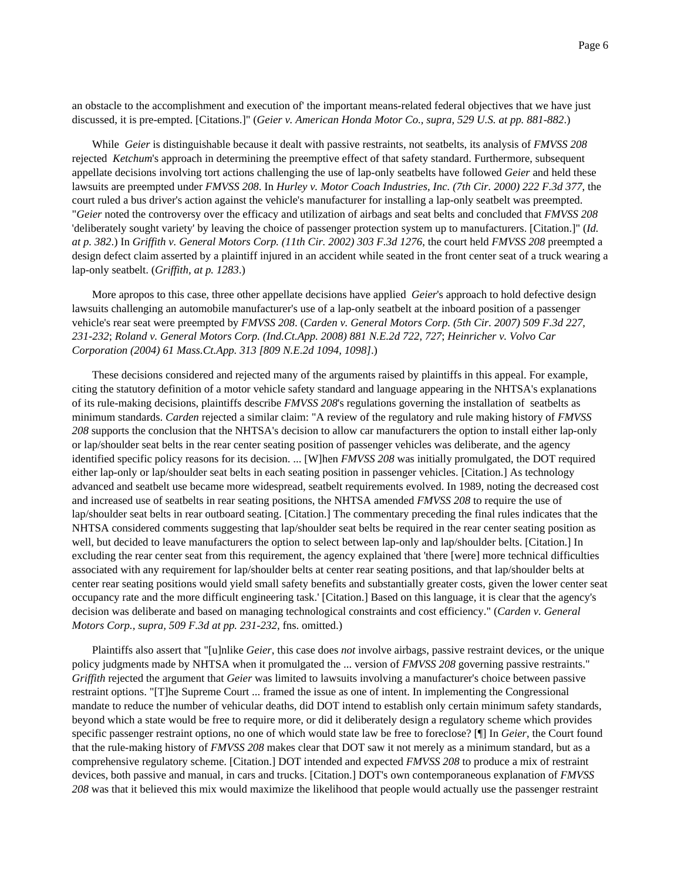an obstacle to the accomplishment and execution of' the important means-related federal objectives that we have just discussed, it is pre-empted. [Citations.]" (*Geier v. American Honda Motor Co., supra, 529 U.S. at pp. 881-882*.)

While *Geier* is distinguishable because it dealt with passive restraints, not seatbelts, its analysis of *FMVSS 208* rejected *Ketchum*'s approach in determining the preemptive effect of that safety standard. Furthermore, subsequent appellate decisions involving tort actions challenging the use of lap-only seatbelts have followed *Geier* and held these lawsuits are preempted under *FMVSS 208*. In *Hurley v. Motor Coach Industries, Inc. (7th Cir. 2000) 222 F.3d 377*, the court ruled a bus driver's action against the vehicle's manufacturer for installing a lap-only seatbelt was preempted. "*Geier* noted the controversy over the efficacy and utilization of airbags and seat belts and concluded that *FMVSS 208* 'deliberately sought variety' by leaving the choice of passenger protection system up to manufacturers. [Citation.]" (*Id. at p. 382*.) In *Griffith v. General Motors Corp. (11th Cir. 2002) 303 F.3d 1276*, the court held *FMVSS 208* preempted a design defect claim asserted by a plaintiff injured in an accident while seated in the front center seat of a truck wearing a lap-only seatbelt. (*Griffith, at p. 1283*.)

More apropos to this case, three other appellate decisions have applied *Geier*'s approach to hold defective design lawsuits challenging an automobile manufacturer's use of a lap-only seatbelt at the inboard position of a passenger vehicle's rear seat were preempted by *FMVSS 208*. (*Carden v. General Motors Corp. (5th Cir. 2007) 509 F.3d 227, 231-232*; *Roland v. General Motors Corp. (Ind.Ct.App. 2008) 881 N.E.2d 722, 727*; *Heinricher v. Volvo Car Corporation (2004) 61 Mass.Ct.App. 313 [809 N.E.2d 1094, 1098]*.)

These decisions considered and rejected many of the arguments raised by plaintiffs in this appeal. For example, citing the statutory definition of a motor vehicle safety standard and language appearing in the NHTSA's explanations of its rule-making decisions, plaintiffs describe *FMVSS 208*'s regulations governing the installation of seatbelts as minimum standards. *Carden* rejected a similar claim: "A review of the regulatory and rule making history of *FMVSS 208* supports the conclusion that the NHTSA's decision to allow car manufacturers the option to install either lap-only or lap/shoulder seat belts in the rear center seating position of passenger vehicles was deliberate, and the agency identified specific policy reasons for its decision. ... [W]hen *FMVSS 208* was initially promulgated, the DOT required either lap-only or lap/shoulder seat belts in each seating position in passenger vehicles. [Citation.] As technology advanced and seatbelt use became more widespread, seatbelt requirements evolved. In 1989, noting the decreased cost and increased use of seatbelts in rear seating positions, the NHTSA amended *FMVSS 208* to require the use of lap/shoulder seat belts in rear outboard seating. [Citation.] The commentary preceding the final rules indicates that the NHTSA considered comments suggesting that lap/shoulder seat belts be required in the rear center seating position as well, but decided to leave manufacturers the option to select between lap-only and lap/shoulder belts. [Citation.] In excluding the rear center seat from this requirement, the agency explained that 'there [were] more technical difficulties associated with any requirement for lap/shoulder belts at center rear seating positions, and that lap/shoulder belts at center rear seating positions would yield small safety benefits and substantially greater costs, given the lower center seat occupancy rate and the more difficult engineering task.' [Citation.] Based on this language, it is clear that the agency's decision was deliberate and based on managing technological constraints and cost efficiency." (*Carden v. General Motors Corp., supra, 509 F.3d at pp. 231-232*, fns. omitted.)

Plaintiffs also assert that "[u]nlike *Geier*, this case does *not* involve airbags, passive restraint devices, or the unique policy judgments made by NHTSA when it promulgated the ... version of *FMVSS 208* governing passive restraints." *Griffith* rejected the argument that *Geier* was limited to lawsuits involving a manufacturer's choice between passive restraint options. "[T]he Supreme Court ... framed the issue as one of intent. In implementing the Congressional mandate to reduce the number of vehicular deaths, did DOT intend to establish only certain minimum safety standards, beyond which a state would be free to require more, or did it deliberately design a regulatory scheme which provides specific passenger restraint options, no one of which would state law be free to foreclose? [¶] In *Geier*, the Court found that the rule-making history of *FMVSS 208* makes clear that DOT saw it not merely as a minimum standard, but as a comprehensive regulatory scheme. [Citation.] DOT intended and expected *FMVSS 208* to produce a mix of restraint devices, both passive and manual, in cars and trucks. [Citation.] DOT's own contemporaneous explanation of *FMVSS 208* was that it believed this mix would maximize the likelihood that people would actually use the passenger restraint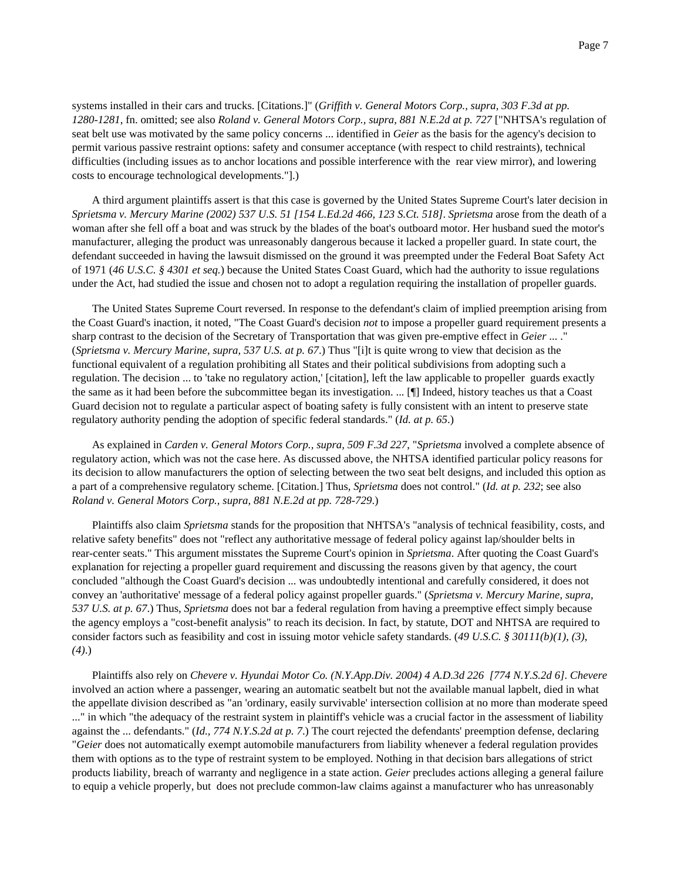systems installed in their cars and trucks. [Citations.]" (*Griffith v. General Motors Corp., supra, 303 F.3d at pp. 1280-1281*, fn. omitted; see also *Roland v. General Motors Corp., supra, 881 N.E.2d at p. 727* ["NHTSA's regulation of seat belt use was motivated by the same policy concerns ... identified in *Geier* as the basis for the agency's decision to permit various passive restraint options: safety and consumer acceptance (with respect to child restraints), technical difficulties (including issues as to anchor locations and possible interference with the rear view mirror), and lowering costs to encourage technological developments."].)

A third argument plaintiffs assert is that this case is governed by the United States Supreme Court's later decision in *Sprietsma v. Mercury Marine (2002) 537 U.S. 51 [154 L.Ed.2d 466, 123 S.Ct. 518]*. *Sprietsma* arose from the death of a woman after she fell off a boat and was struck by the blades of the boat's outboard motor. Her husband sued the motor's manufacturer, alleging the product was unreasonably dangerous because it lacked a propeller guard. In state court, the defendant succeeded in having the lawsuit dismissed on the ground it was preempted under the Federal Boat Safety Act of 1971 (*46 U.S.C. § 4301 et seq.*) because the United States Coast Guard, which had the authority to issue regulations under the Act, had studied the issue and chosen not to adopt a regulation requiring the installation of propeller guards.

The United States Supreme Court reversed. In response to the defendant's claim of implied preemption arising from the Coast Guard's inaction, it noted, "The Coast Guard's decision *not* to impose a propeller guard requirement presents a sharp contrast to the decision of the Secretary of Transportation that was given pre-emptive effect in *Geier* ... ." (*Sprietsma v. Mercury Marine, supra, 537 U.S. at p. 67*.) Thus "[i]t is quite wrong to view that decision as the functional equivalent of a regulation prohibiting all States and their political subdivisions from adopting such a regulation. The decision ... to 'take no regulatory action,' [citation], left the law applicable to propeller guards exactly the same as it had been before the subcommittee began its investigation. ... [¶] Indeed, history teaches us that a Coast Guard decision not to regulate a particular aspect of boating safety is fully consistent with an intent to preserve state regulatory authority pending the adoption of specific federal standards." (*Id. at p. 65*.)

As explained in *Carden v. General Motors Corp., supra, 509 F.3d 227*, "*Sprietsma* involved a complete absence of regulatory action, which was not the case here. As discussed above, the NHTSA identified particular policy reasons for its decision to allow manufacturers the option of selecting between the two seat belt designs, and included this option as a part of a comprehensive regulatory scheme. [Citation.] Thus, *Sprietsma* does not control." (*Id. at p. 232*; see also *Roland v. General Motors Corp., supra, 881 N.E.2d at pp. 728-729*.)

Plaintiffs also claim *Sprietsma* stands for the proposition that NHTSA's "analysis of technical feasibility, costs, and relative safety benefits" does not "reflect any authoritative message of federal policy against lap/shoulder belts in rear-center seats." This argument misstates the Supreme Court's opinion in *Sprietsma*. After quoting the Coast Guard's explanation for rejecting a propeller guard requirement and discussing the reasons given by that agency, the court concluded "although the Coast Guard's decision ... was undoubtedly intentional and carefully considered, it does not convey an 'authoritative' message of a federal policy against propeller guards." (*Sprietsma v. Mercury Marine, supra, 537 U.S. at p. 67*.) Thus, *Sprietsma* does not bar a federal regulation from having a preemptive effect simply because the agency employs a "cost-benefit analysis" to reach its decision. In fact, by statute, DOT and NHTSA are required to consider factors such as feasibility and cost in issuing motor vehicle safety standards. (*49 U.S.C. § 30111(b)(1)*, *(3)*, *(4)*.)

Plaintiffs also rely on *Chevere v. Hyundai Motor Co. (N.Y.App.Div. 2004) 4 A.D.3d 226 [774 N.Y.S.2d 6]*. *Chevere* involved an action where a passenger, wearing an automatic seatbelt but not the available manual lapbelt, died in what the appellate division described as "an 'ordinary, easily survivable' intersection collision at no more than moderate speed ..." in which "the adequacy of the restraint system in plaintiff's vehicle was a crucial factor in the assessment of liability against the ... defendants." (*Id., 774 N.Y.S.2d at p. 7*.) The court rejected the defendants' preemption defense, declaring "*Geier* does not automatically exempt automobile manufacturers from liability whenever a federal regulation provides them with options as to the type of restraint system to be employed. Nothing in that decision bars allegations of strict products liability, breach of warranty and negligence in a state action. *Geier* precludes actions alleging a general failure to equip a vehicle properly, but does not preclude common-law claims against a manufacturer who has unreasonably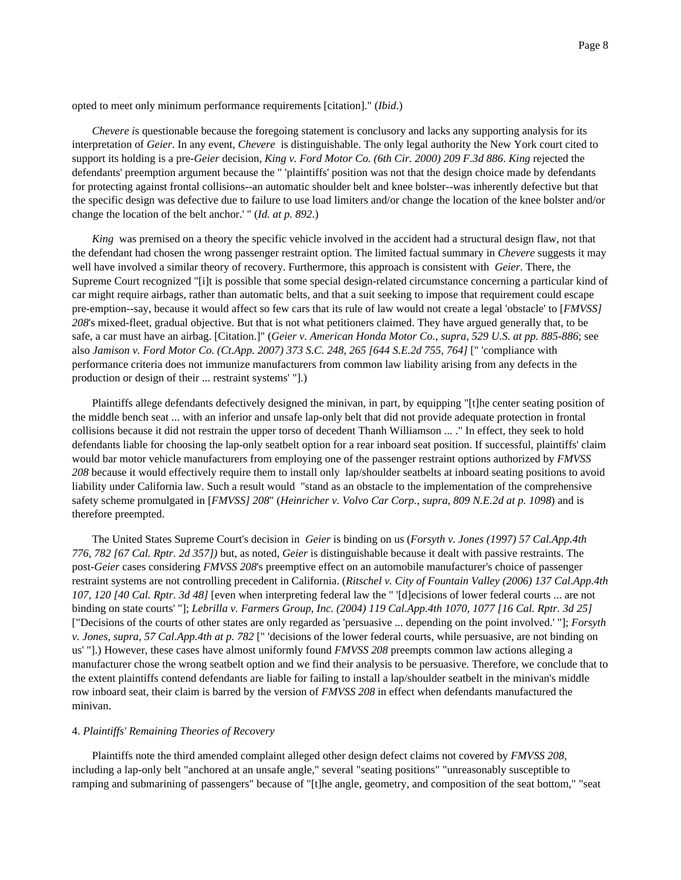opted to meet only minimum performance requirements [citation]." (*Ibid*.)

*Chevere i*s questionable because the foregoing statement is conclusory and lacks any supporting analysis for its interpretation of *Geier*. In any event, *Chevere* is distinguishable. The only legal authority the New York court cited to support its holding is a pre-*Geier* decision, *King v. Ford Motor Co. (6th Cir. 2000) 209 F.3d 886*. *King* rejected the defendants' preemption argument because the " 'plaintiffs' position was not that the design choice made by defendants for protecting against frontal collisions--an automatic shoulder belt and knee bolster--was inherently defective but that the specific design was defective due to failure to use load limiters and/or change the location of the knee bolster and/or change the location of the belt anchor.' " (*Id. at p. 892*.)

*King* was premised on a theory the specific vehicle involved in the accident had a structural design flaw, not that the defendant had chosen the wrong passenger restraint option. The limited factual summary in *Chevere* suggests it may well have involved a similar theory of recovery. Furthermore, this approach is consistent with *Geier*. There, the Supreme Court recognized "[i]t is possible that some special design-related circumstance concerning a particular kind of car might require airbags, rather than automatic belts, and that a suit seeking to impose that requirement could escape pre-emption--say, because it would affect so few cars that its rule of law would not create a legal 'obstacle' to [*FMVSS] 208*'s mixed-fleet, gradual objective. But that is not what petitioners claimed. They have argued generally that, to be safe, a car must have an airbag. [Citation.]" (*Geier v. American Honda Motor Co., supra, 529 U.S. at pp. 885-886*; see also *Jamison v. Ford Motor Co. (Ct.App. 2007) 373 S.C. 248, 265 [644 S.E.2d 755, 764]* [" 'compliance with performance criteria does not immunize manufacturers from common law liability arising from any defects in the production or design of their ... restraint systems' "].)

Plaintiffs allege defendants defectively designed the minivan, in part, by equipping "[t]he center seating position of the middle bench seat ... with an inferior and unsafe lap-only belt that did not provide adequate protection in frontal collisions because it did not restrain the upper torso of decedent Thanh Williamson ... ." In effect, they seek to hold defendants liable for choosing the lap-only seatbelt option for a rear inboard seat position. If successful, plaintiffs' claim would bar motor vehicle manufacturers from employing one of the passenger restraint options authorized by *FMVSS 208* because it would effectively require them to install only lap/shoulder seatbelts at inboard seating positions to avoid liability under California law. Such a result would "stand as an obstacle to the implementation of the comprehensive safety scheme promulgated in [*FMVSS] 208*" (*Heinricher v. Volvo Car Corp., supra, 809 N.E.2d at p. 1098*) and is therefore preempted.

The United States Supreme Court's decision in *Geier* is binding on us (*Forsyth v. Jones (1997) 57 Cal.App.4th 776, 782 [67 Cal. Rptr. 2d 357])* but, as noted, *Geier* is distinguishable because it dealt with passive restraints. The post-*Geier* cases considering *FMVSS 208*'s preemptive effect on an automobile manufacturer's choice of passenger restraint systems are not controlling precedent in California. (*Ritschel v. City of Fountain Valley (2006) 137 Cal.App.4th 107, 120 [40 Cal. Rptr. 3d 48]* [even when interpreting federal law the " '[d]ecisions of lower federal courts ... are not binding on state courts' "]; *Lebrilla v. Farmers Group, Inc. (2004) 119 Cal.App.4th 1070, 1077 [16 Cal. Rptr. 3d 25]* ["Decisions of the courts of other states are only regarded as 'persuasive ... depending on the point involved.' "]; *Forsyth v. Jones, supra, 57 Cal.App.4th at p. 782* [" 'decisions of the lower federal courts, while persuasive, are not binding on us' "].) However, these cases have almost uniformly found *FMVSS 208* preempts common law actions alleging a manufacturer chose the wrong seatbelt option and we find their analysis to be persuasive. Therefore, we conclude that to the extent plaintiffs contend defendants are liable for failing to install a lap/shoulder seatbelt in the minivan's middle row inboard seat, their claim is barred by the version of *FMVSS 208* in effect when defendants manufactured the minivan.

### 4. *Plaintiffs' Remaining Theories of Recovery*

Plaintiffs note the third amended complaint alleged other design defect claims not covered by *FMVSS 208*, including a lap-only belt "anchored at an unsafe angle," several "seating positions" "unreasonably susceptible to ramping and submarining of passengers" because of "[t]he angle, geometry, and composition of the seat bottom," "seat